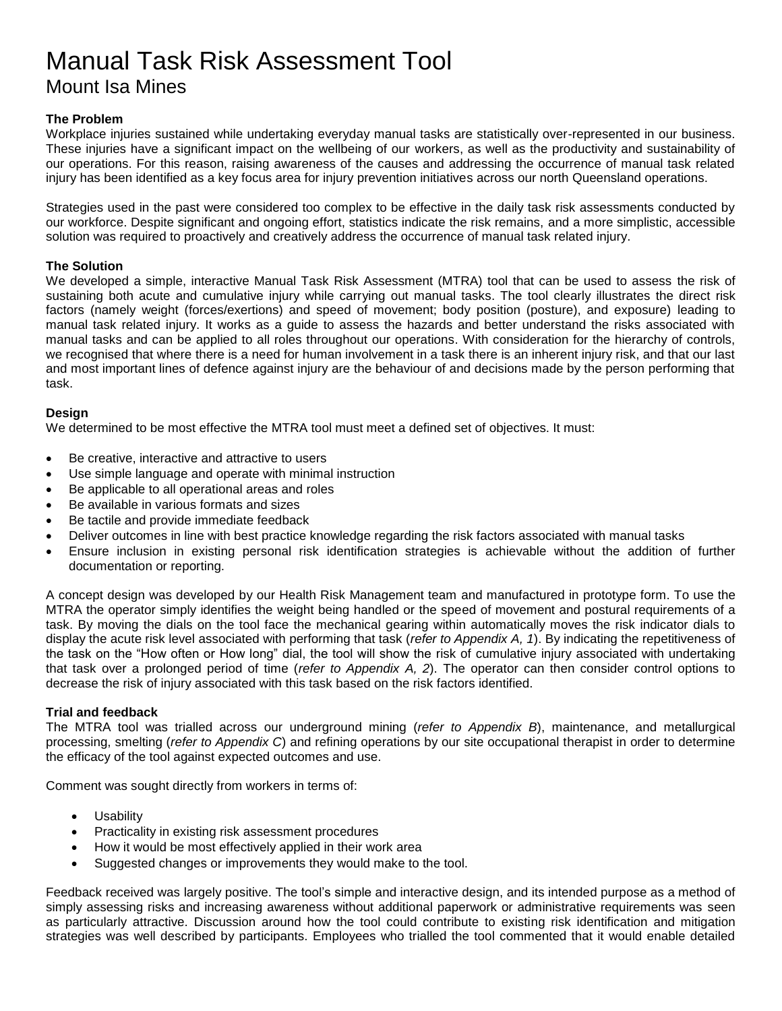# Manual Task Risk Assessment Tool Mount Isa Mines

#### **The Problem**

Workplace injuries sustained while undertaking everyday manual tasks are statistically over-represented in our business. These injuries have a significant impact on the wellbeing of our workers, as well as the productivity and sustainability of our operations. For this reason, raising awareness of the causes and addressing the occurrence of manual task related injury has been identified as a key focus area for injury prevention initiatives across our north Queensland operations.

Strategies used in the past were considered too complex to be effective in the daily task risk assessments conducted by our workforce. Despite significant and ongoing effort, statistics indicate the risk remains, and a more simplistic, accessible solution was required to proactively and creatively address the occurrence of manual task related injury.

#### **The Solution**

We developed a simple, interactive Manual Task Risk Assessment (MTRA) tool that can be used to assess the risk of sustaining both acute and cumulative injury while carrying out manual tasks. The tool clearly illustrates the direct risk factors (namely weight (forces/exertions) and speed of movement; body position (posture), and exposure) leading to manual task related injury. It works as a guide to assess the hazards and better understand the risks associated with manual tasks and can be applied to all roles throughout our operations. With consideration for the hierarchy of controls, we recognised that where there is a need for human involvement in a task there is an inherent injury risk, and that our last and most important lines of defence against injury are the behaviour of and decisions made by the person performing that task.

#### **Design**

We determined to be most effective the MTRA tool must meet a defined set of objectives. It must:

- Be creative, interactive and attractive to users
- Use simple language and operate with minimal instruction
- Be applicable to all operational areas and roles
- Be available in various formats and sizes
- Be tactile and provide immediate feedback
- Deliver outcomes in line with best practice knowledge regarding the risk factors associated with manual tasks
- Ensure inclusion in existing personal risk identification strategies is achievable without the addition of further documentation or reporting.

A concept design was developed by our Health Risk Management team and manufactured in prototype form. To use the MTRA the operator simply identifies the weight being handled or the speed of movement and postural requirements of a task. By moving the dials on the tool face the mechanical gearing within automatically moves the risk indicator dials to display the acute risk level associated with performing that task (*refer to Appendix A, 1*). By indicating the repetitiveness of the task on the "How often or How long" dial, the tool will show the risk of cumulative injury associated with undertaking that task over a prolonged period of time (*refer to Appendix A, 2*). The operator can then consider control options to decrease the risk of injury associated with this task based on the risk factors identified.

#### **Trial and feedback**

The MTRA tool was trialled across our underground mining (*refer to Appendix B*), maintenance, and metallurgical processing, smelting (*refer to Appendix C*) and refining operations by our site occupational therapist in order to determine the efficacy of the tool against expected outcomes and use.

Comment was sought directly from workers in terms of:

- Usability
- Practicality in existing risk assessment procedures
- How it would be most effectively applied in their work area
- Suggested changes or improvements they would make to the tool.

Feedback received was largely positive. The tool's simple and interactive design, and its intended purpose as a method of simply assessing risks and increasing awareness without additional paperwork or administrative requirements was seen as particularly attractive. Discussion around how the tool could contribute to existing risk identification and mitigation strategies was well described by participants. Employees who trialled the tool commented that it would enable detailed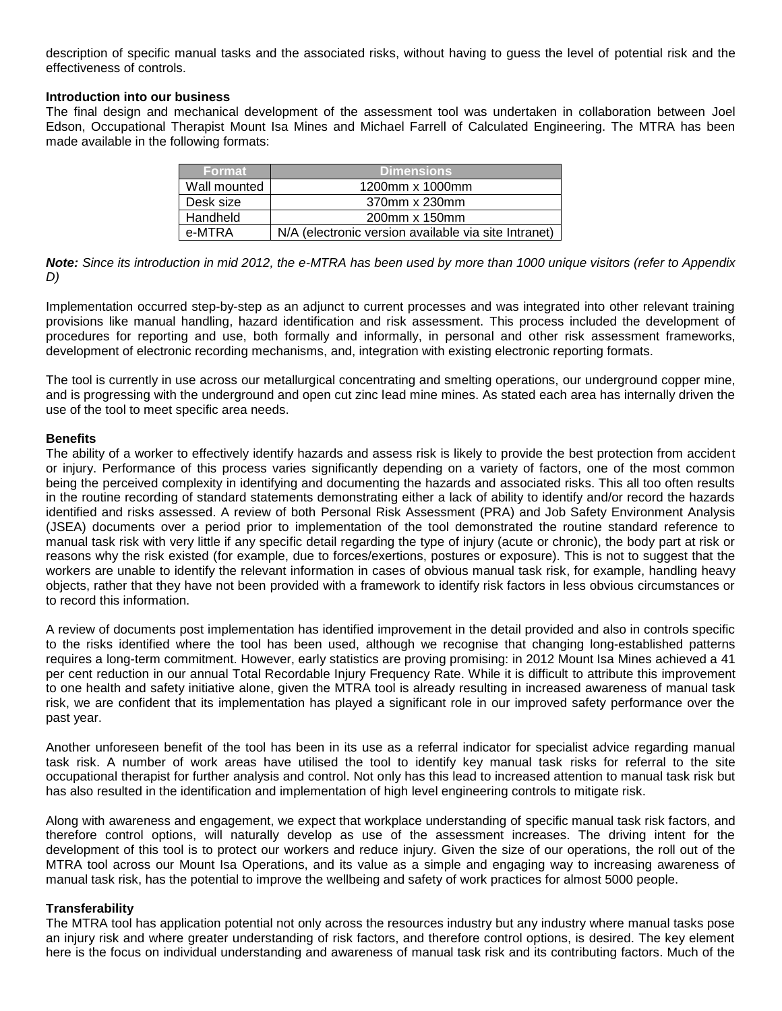description of specific manual tasks and the associated risks, without having to guess the level of potential risk and the effectiveness of controls.

#### **Introduction into our business**

The final design and mechanical development of the assessment tool was undertaken in collaboration between Joel Edson, Occupational Therapist Mount Isa Mines and Michael Farrell of Calculated Engineering. The MTRA has been made available in the following formats:

| <b>Format</b> | <b>Dimensions</b>                                    |
|---------------|------------------------------------------------------|
| Wall mounted  | 1200mm x 1000mm                                      |
| Desk size     | 370mm x 230mm                                        |
| Handheld      | 200mm x 150mm                                        |
| e-MTRA        | N/A (electronic version available via site Intranet) |

*Note: Since its introduction in mid 2012, the e-MTRA has been used by more than 1000 unique visitors (refer to Appendix D)*

Implementation occurred step-by-step as an adjunct to current processes and was integrated into other relevant training provisions like manual handling, hazard identification and risk assessment. This process included the development of procedures for reporting and use, both formally and informally, in personal and other risk assessment frameworks, development of electronic recording mechanisms, and, integration with existing electronic reporting formats.

The tool is currently in use across our metallurgical concentrating and smelting operations, our underground copper mine, and is progressing with the underground and open cut zinc lead mine mines. As stated each area has internally driven the use of the tool to meet specific area needs.

#### **Benefits**

The ability of a worker to effectively identify hazards and assess risk is likely to provide the best protection from accident or injury. Performance of this process varies significantly depending on a variety of factors, one of the most common being the perceived complexity in identifying and documenting the hazards and associated risks. This all too often results in the routine recording of standard statements demonstrating either a lack of ability to identify and/or record the hazards identified and risks assessed. A review of both Personal Risk Assessment (PRA) and Job Safety Environment Analysis (JSEA) documents over a period prior to implementation of the tool demonstrated the routine standard reference to manual task risk with very little if any specific detail regarding the type of injury (acute or chronic), the body part at risk or reasons why the risk existed (for example, due to forces/exertions, postures or exposure). This is not to suggest that the workers are unable to identify the relevant information in cases of obvious manual task risk, for example, handling heavy objects, rather that they have not been provided with a framework to identify risk factors in less obvious circumstances or to record this information.

A review of documents post implementation has identified improvement in the detail provided and also in controls specific to the risks identified where the tool has been used, although we recognise that changing long-established patterns requires a long-term commitment. However, early statistics are proving promising: in 2012 Mount Isa Mines achieved a 41 per cent reduction in our annual Total Recordable Injury Frequency Rate. While it is difficult to attribute this improvement to one health and safety initiative alone, given the MTRA tool is already resulting in increased awareness of manual task risk, we are confident that its implementation has played a significant role in our improved safety performance over the past year.

Another unforeseen benefit of the tool has been in its use as a referral indicator for specialist advice regarding manual task risk. A number of work areas have utilised the tool to identify key manual task risks for referral to the site occupational therapist for further analysis and control. Not only has this lead to increased attention to manual task risk but has also resulted in the identification and implementation of high level engineering controls to mitigate risk.

Along with awareness and engagement, we expect that workplace understanding of specific manual task risk factors, and therefore control options, will naturally develop as use of the assessment increases. The driving intent for the development of this tool is to protect our workers and reduce injury. Given the size of our operations, the roll out of the MTRA tool across our Mount Isa Operations, and its value as a simple and engaging way to increasing awareness of manual task risk, has the potential to improve the wellbeing and safety of work practices for almost 5000 people.

#### **Transferability**

The MTRA tool has application potential not only across the resources industry but any industry where manual tasks pose an injury risk and where greater understanding of risk factors, and therefore control options, is desired. The key element here is the focus on individual understanding and awareness of manual task risk and its contributing factors. Much of the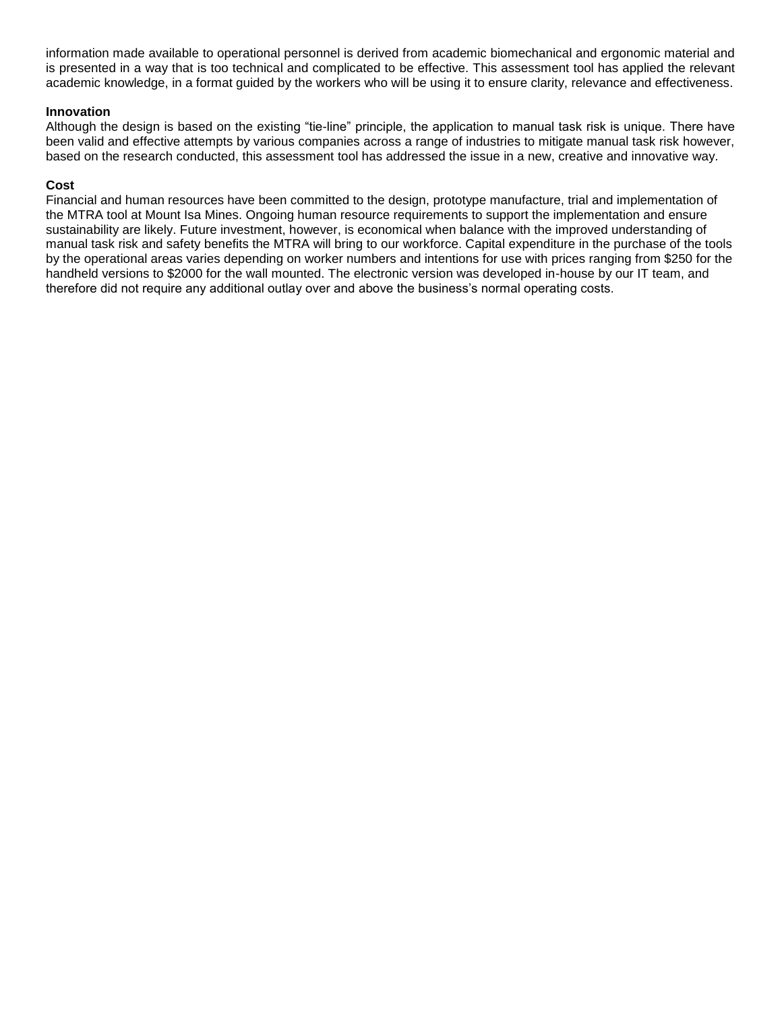information made available to operational personnel is derived from academic biomechanical and ergonomic material and is presented in a way that is too technical and complicated to be effective. This assessment tool has applied the relevant academic knowledge, in a format guided by the workers who will be using it to ensure clarity, relevance and effectiveness.

#### **Innovation**

Although the design is based on the existing "tie-line" principle, the application to manual task risk is unique. There have been valid and effective attempts by various companies across a range of industries to mitigate manual task risk however, based on the research conducted, this assessment tool has addressed the issue in a new, creative and innovative way.

#### **Cost**

Financial and human resources have been committed to the design, prototype manufacture, trial and implementation of the MTRA tool at Mount Isa Mines. Ongoing human resource requirements to support the implementation and ensure sustainability are likely. Future investment, however, is economical when balance with the improved understanding of manual task risk and safety benefits the MTRA will bring to our workforce. Capital expenditure in the purchase of the tools by the operational areas varies depending on worker numbers and intentions for use with prices ranging from \$250 for the handheld versions to \$2000 for the wall mounted. The electronic version was developed in-house by our IT team, and therefore did not require any additional outlay over and above the business's normal operating costs.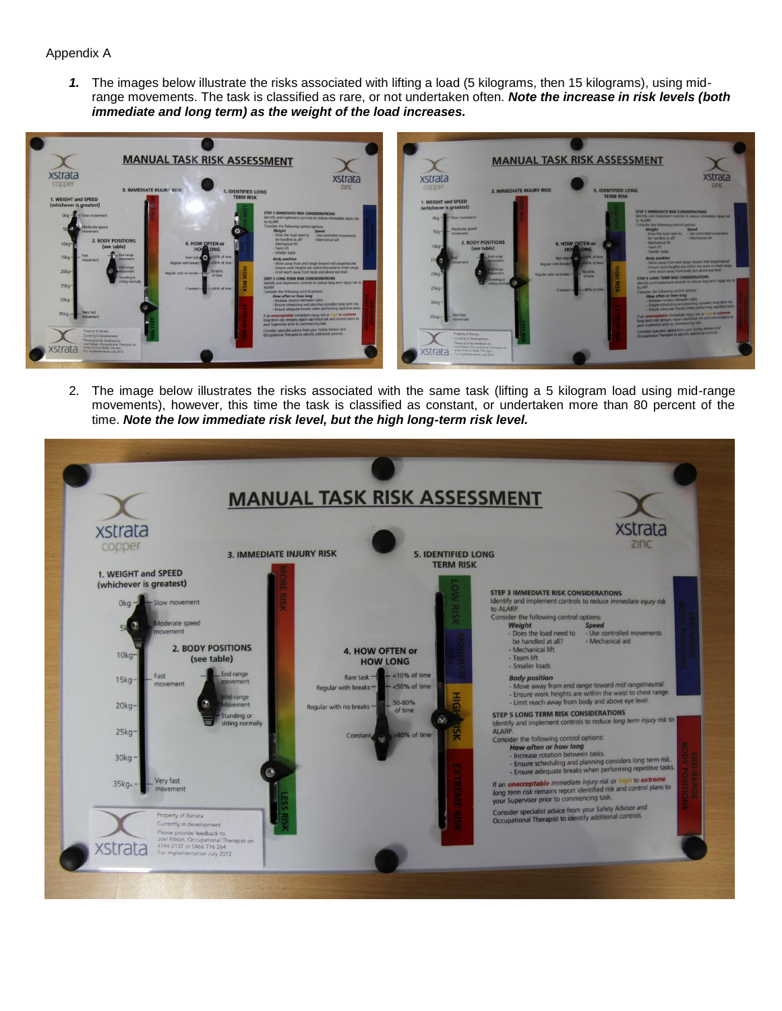#### Appendix A

*1.* The images below illustrate the risks associated with lifting a load (5 kilograms, then 15 kilograms), using midrange movements. The task is classified as rare, or not undertaken often. *Note the increase in risk levels (both immediate and long term) as the weight of the load increases.*



2. The image below illustrates the risks associated with the same task (lifting a 5 kilogram load using mid-range movements), however, this time the task is classified as constant, or undertaken more than 80 percent of the time. *Note the low immediate risk level, but the high long-term risk level.*

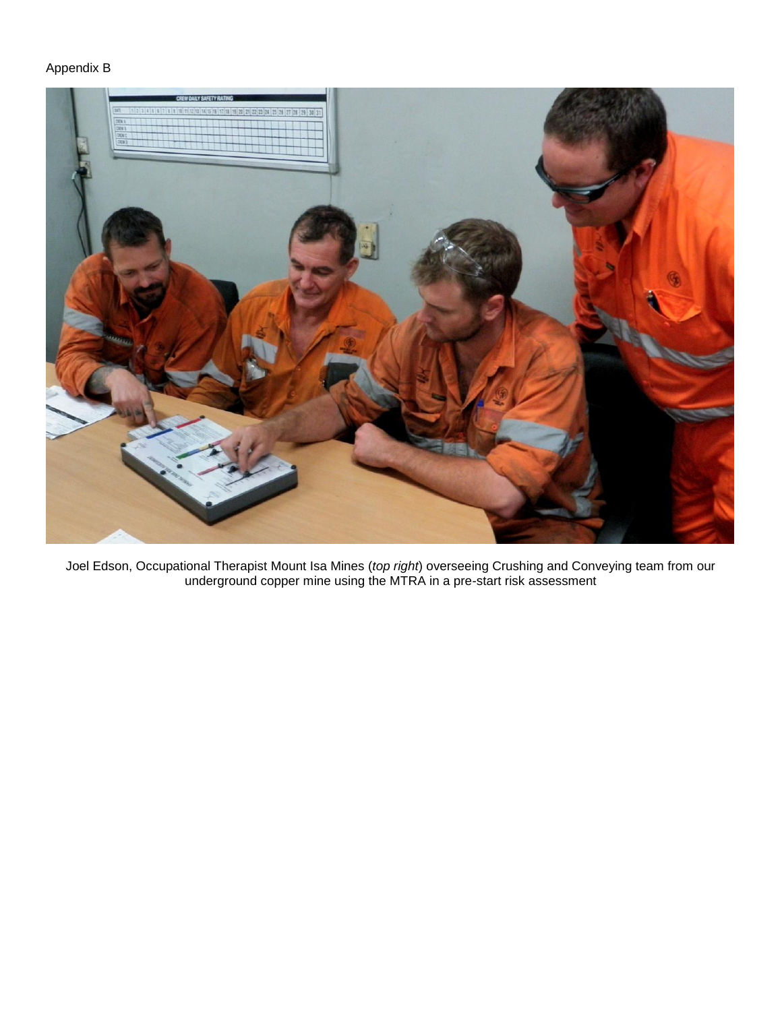### Appendix B



Joel Edson, Occupational Therapist Mount Isa Mines (*top right*) overseeing Crushing and Conveying team from our underground copper mine using the MTRA in a pre-start risk assessment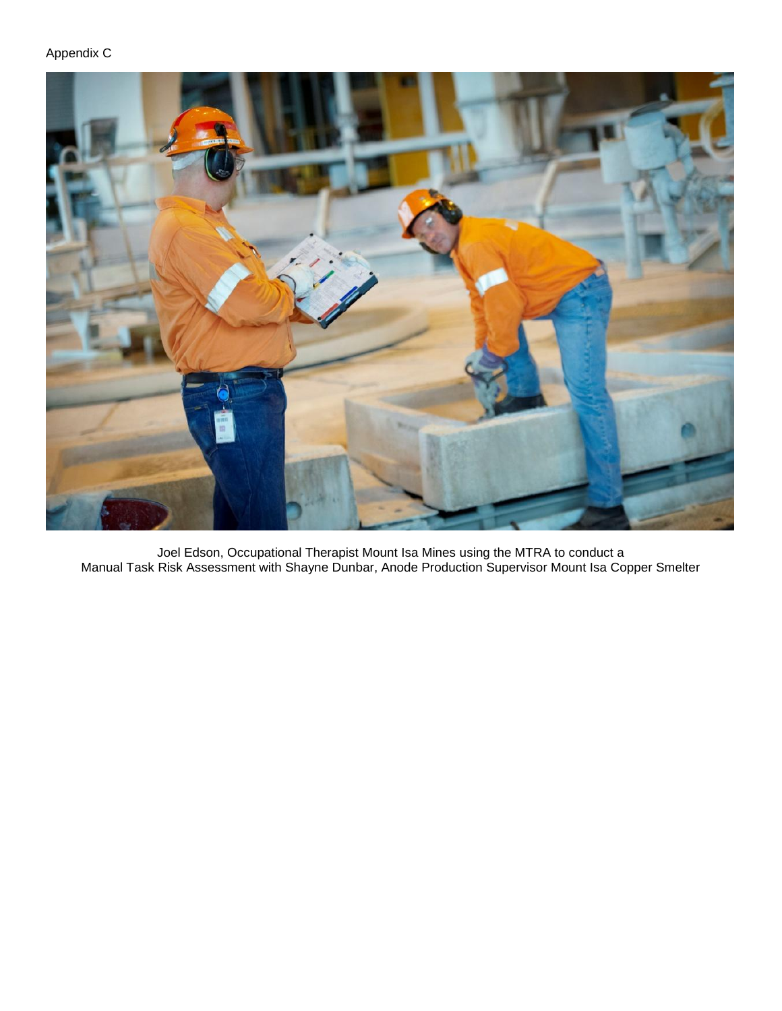# Appendix C



Joel Edson, Occupational Therapist Mount Isa Mines using the MTRA to conduct a Manual Task Risk Assessment with Shayne Dunbar, Anode Production Supervisor Mount Isa Copper Smelter